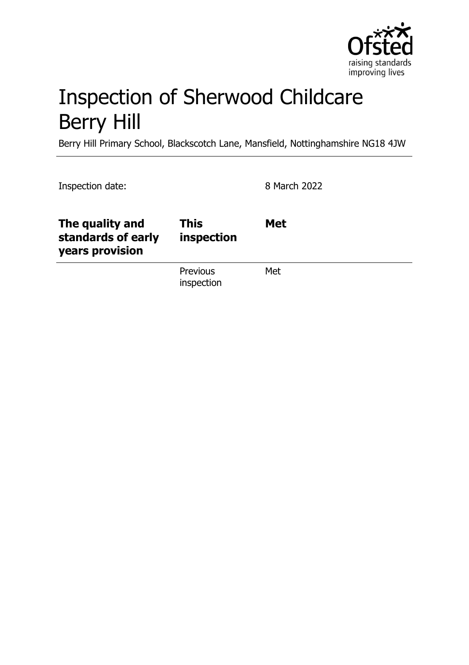

# Inspection of Sherwood Childcare Berry Hill

Berry Hill Primary School, Blackscotch Lane, Mansfield, Nottinghamshire NG18 4JW

| Inspection date:                                         |                               | 8 March 2022 |
|----------------------------------------------------------|-------------------------------|--------------|
| The quality and<br>standards of early<br>years provision | <b>This</b><br>inspection     | <b>Met</b>   |
|                                                          | <b>Previous</b><br>inspection | Met          |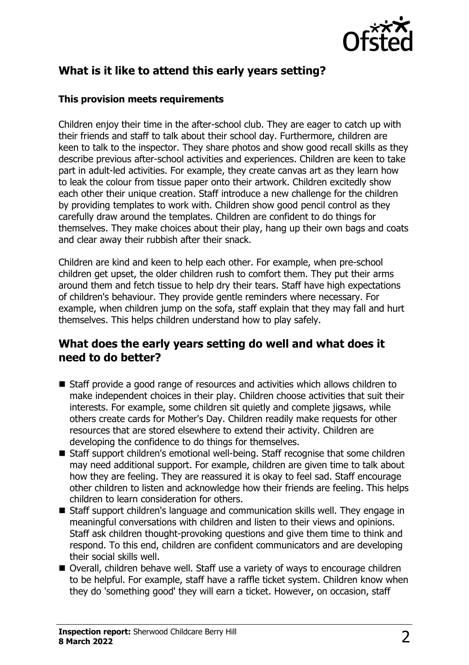

# **What is it like to attend this early years setting?**

#### **This provision meets requirements**

Children enjoy their time in the after-school club. They are eager to catch up with their friends and staff to talk about their school day. Furthermore, children are keen to talk to the inspector. They share photos and show good recall skills as they describe previous after-school activities and experiences. Children are keen to take part in adult-led activities. For example, they create canvas art as they learn how to leak the colour from tissue paper onto their artwork. Children excitedly show each other their unique creation. Staff introduce a new challenge for the children by providing templates to work with. Children show good pencil control as they carefully draw around the templates. Children are confident to do things for themselves. They make choices about their play, hang up their own bags and coats and clear away their rubbish after their snack.

Children are kind and keen to help each other. For example, when pre-school children get upset, the older children rush to comfort them. They put their arms around them and fetch tissue to help dry their tears. Staff have high expectations of children's behaviour. They provide gentle reminders where necessary. For example, when children jump on the sofa, staff explain that they may fall and hurt themselves. This helps children understand how to play safely.

#### **What does the early years setting do well and what does it need to do better?**

- $\blacksquare$  Staff provide a good range of resources and activities which allows children to make independent choices in their play. Children choose activities that suit their interests. For example, some children sit quietly and complete jigsaws, while others create cards for Mother's Day. Children readily make requests for other resources that are stored elsewhere to extend their activity. Children are developing the confidence to do things for themselves.
- Staff support children's emotional well-being. Staff recognise that some children may need additional support. For example, children are given time to talk about how they are feeling. They are reassured it is okay to feel sad. Staff encourage other children to listen and acknowledge how their friends are feeling. This helps children to learn consideration for others.
- Staff support children's language and communication skills well. They engage in meaningful conversations with children and listen to their views and opinions. Staff ask children thought-provoking questions and give them time to think and respond. To this end, children are confident communicators and are developing their social skills well.
- Overall, children behave well. Staff use a variety of ways to encourage children to be helpful. For example, staff have a raffle ticket system. Children know when they do 'something good' they will earn a ticket. However, on occasion, staff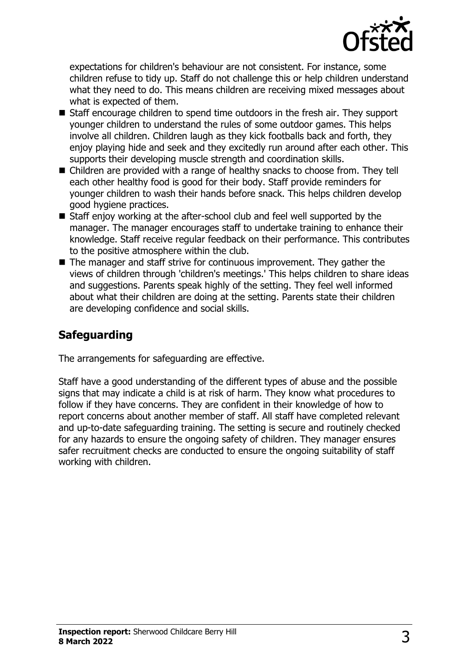

expectations for children's behaviour are not consistent. For instance, some children refuse to tidy up. Staff do not challenge this or help children understand what they need to do. This means children are receiving mixed messages about what is expected of them.

- Staff encourage children to spend time outdoors in the fresh air. They support younger children to understand the rules of some outdoor games. This helps involve all children. Children laugh as they kick footballs back and forth, they enjoy playing hide and seek and they excitedly run around after each other. This supports their developing muscle strength and coordination skills.
- $\blacksquare$  Children are provided with a range of healthy snacks to choose from. They tell each other healthy food is good for their body. Staff provide reminders for younger children to wash their hands before snack. This helps children develop good hygiene practices.
- $\blacksquare$  Staff enjoy working at the after-school club and feel well supported by the manager. The manager encourages staff to undertake training to enhance their knowledge. Staff receive regular feedback on their performance. This contributes to the positive atmosphere within the club.
- $\blacksquare$  The manager and staff strive for continuous improvement. They gather the views of children through 'children's meetings.' This helps children to share ideas and suggestions. Parents speak highly of the setting. They feel well informed about what their children are doing at the setting. Parents state their children are developing confidence and social skills.

## **Safeguarding**

The arrangements for safeguarding are effective.

Staff have a good understanding of the different types of abuse and the possible signs that may indicate a child is at risk of harm. They know what procedures to follow if they have concerns. They are confident in their knowledge of how to report concerns about another member of staff. All staff have completed relevant and up-to-date safeguarding training. The setting is secure and routinely checked for any hazards to ensure the ongoing safety of children. They manager ensures safer recruitment checks are conducted to ensure the ongoing suitability of staff working with children.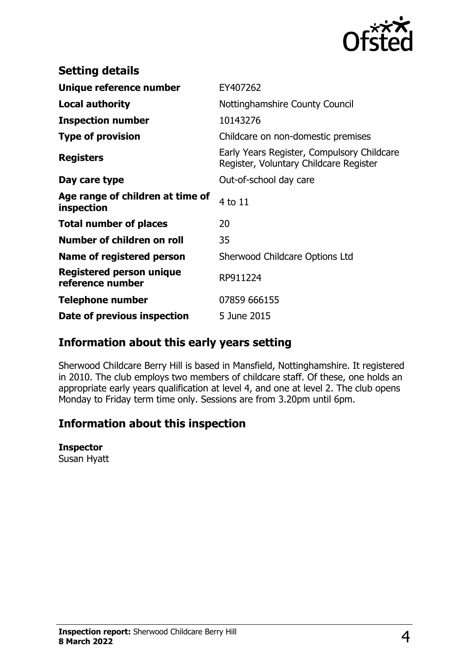

| <b>Setting details</b>                              |                                                                                      |
|-----------------------------------------------------|--------------------------------------------------------------------------------------|
| Unique reference number                             | EY407262                                                                             |
| <b>Local authority</b>                              | Nottinghamshire County Council                                                       |
| <b>Inspection number</b>                            | 10143276                                                                             |
| <b>Type of provision</b>                            | Childcare on non-domestic premises                                                   |
| <b>Registers</b>                                    | Early Years Register, Compulsory Childcare<br>Register, Voluntary Childcare Register |
| Day care type                                       | Out-of-school day care                                                               |
| Age range of children at time of<br>inspection      | 4 to 11                                                                              |
| <b>Total number of places</b>                       | 20                                                                                   |
| Number of children on roll                          | 35                                                                                   |
| Name of registered person                           | Sherwood Childcare Options Ltd                                                       |
| <b>Registered person unique</b><br>reference number | RP911224                                                                             |
| <b>Telephone number</b>                             | 07859 666155                                                                         |
| Date of previous inspection                         | 5 June 2015                                                                          |

### **Information about this early years setting**

Sherwood Childcare Berry Hill is based in Mansfield, Nottinghamshire. It registered in 2010. The club employs two members of childcare staff. Of these, one holds an appropriate early years qualification at level 4, and one at level 2. The club opens Monday to Friday term time only. Sessions are from 3.20pm until 6pm.

# **Information about this inspection**

#### **Inspector**

Susan Hyatt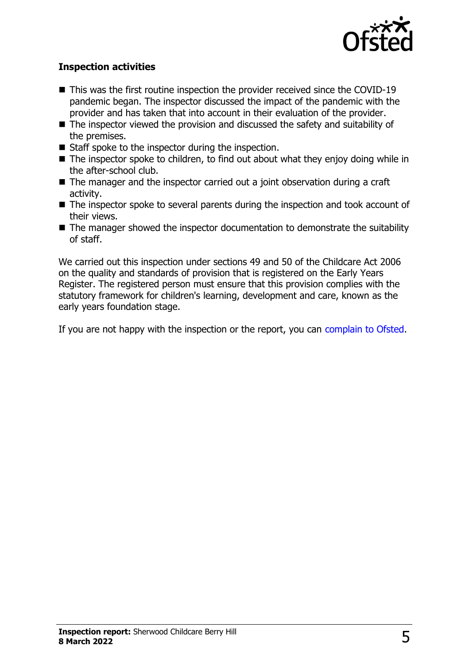

#### **Inspection activities**

- $\blacksquare$  This was the first routine inspection the provider received since the COVID-19 pandemic began. The inspector discussed the impact of the pandemic with the provider and has taken that into account in their evaluation of the provider.
- $\blacksquare$  The inspector viewed the provision and discussed the safety and suitability of the premises.
- $\blacksquare$  Staff spoke to the inspector during the inspection.
- $\blacksquare$  The inspector spoke to children, to find out about what they enjoy doing while in the after-school club.
- $\blacksquare$  The manager and the inspector carried out a joint observation during a craft activity.
- $\blacksquare$  The inspector spoke to several parents during the inspection and took account of their views.
- $\blacksquare$  The manager showed the inspector documentation to demonstrate the suitability of staff.

We carried out this inspection under sections 49 and 50 of the Childcare Act 2006 on the quality and standards of provision that is registered on the Early Years Register. The registered person must ensure that this provision complies with the statutory framework for children's learning, development and care, known as the early years foundation stage.

If you are not happy with the inspection or the report, you can [complain to Ofsted](http://www.gov.uk/complain-ofsted-report).